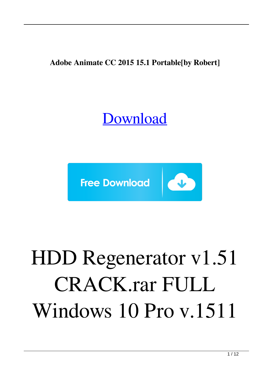#### **Adobe Animate CC 2015 15.1 Portable[by Robert]**

### [Download](https://urlca.com/2l028r)



## HDD Regenerator v1.51 CRACK.rar FULL Windows 10 Pro v.1511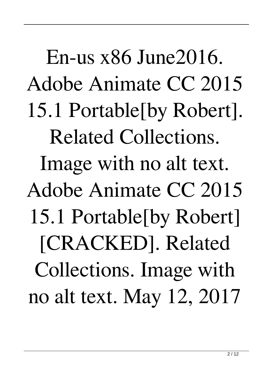En-us x86 June2016. Adobe Animate CC 2015 15.1 Portable[by Robert]. Related Collections. Image with no alt text. Adobe Animate CC 2015 15.1 Portable[by Robert] [CRACKED]. Related Collections. Image with no alt text. May 12, 2017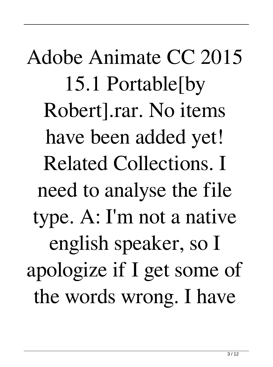Adobe Animate CC 2015 15.1 Portable[by Robert].rar. No items have been added yet! Related Collections. I need to analyse the file type. A: I'm not a native english speaker, so I apologize if I get some of the words wrong. I have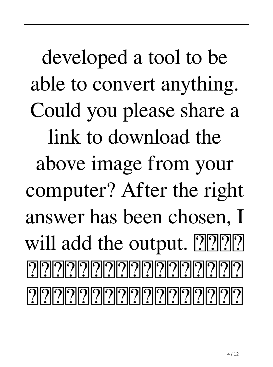developed a tool to be able to convert anything. Could you please share a link to download the above image from your computer? After the right answer has been chosen, I will add the output. **PRPP** 22222222222222222 22222222222222222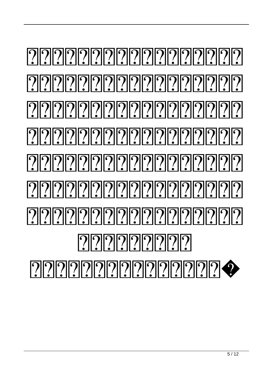2222222222222222 [기기기기기기기기기기기기기] 22222222222222222 222222222222222222  $[2]2]22222$ 22222222222222222 るのが遊ぶような行為だった」と、や 22222222  $[2]2]2$ [2][2][2][2][2][2][2][2][2][2][2]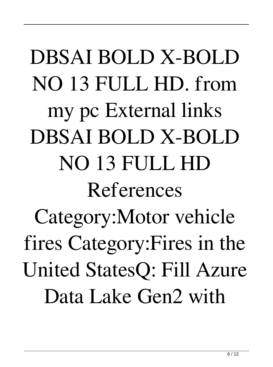# DBSAI BOLD X-BOLD NO 13 FULL HD. from my pc External links DBSAI BOLD X-BOLD NO 13 FULL HD References Category:Motor vehicle fires Category:Fires in the United StatesQ: Fill Azure Data Lake Gen2 with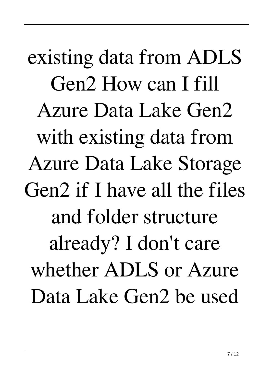existing data from ADLS Gen2 How can I fill Azure Data Lake Gen2 with existing data from Azure Data Lake Storage Gen2 if I have all the files and folder structure already? I don't care whether ADLS or Azure Data Lake Gen2 be used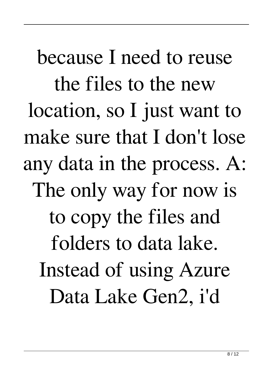because I need to reuse the files to the new location, so I just want to make sure that I don't lose any data in the process. A: The only way for now is to copy the files and folders to data lake. Instead of using Azure Data Lake Gen2, i'd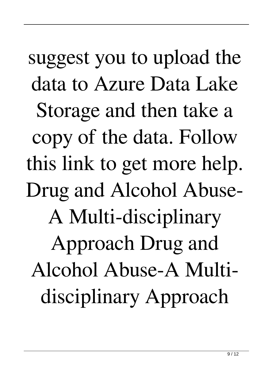suggest you to upload the data to Azure Data Lake Storage and then take a copy of the data. Follow this link to get more help. Drug and Alcohol Abuse-A Multi-disciplinary Approach Drug and Alcohol Abuse-A Multidisciplinary Approach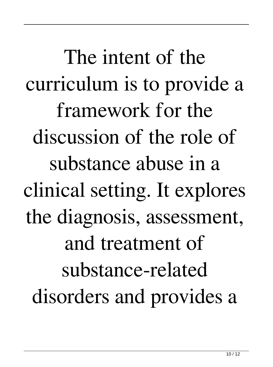The intent of the curriculum is to provide a framework for the discussion of the role of substance abuse in a clinical setting. It explores the diagnosis, assessment, and treatment of substance-related disorders and provides a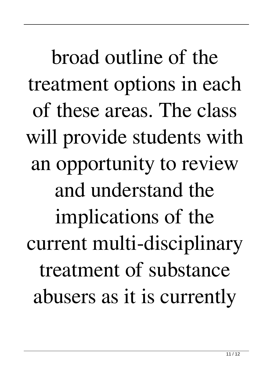broad outline of the treatment options in each of these areas. The class will provide students with an opportunity to review and understand the implications of the current multi-disciplinary treatment of substance abusers as it is currently